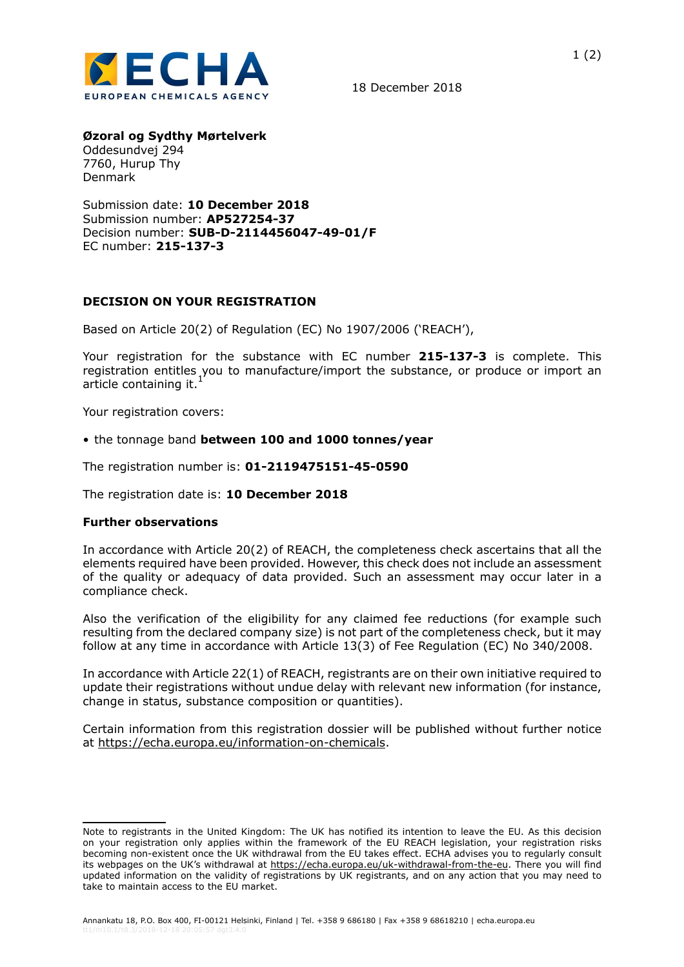

18 December 2018

**Øzoral og Sydthy Mørtelverk**

Oddesundvej 294 7760, Hurup Thy Denmark

Submission date: **10 December 2018** Submission number: **AP527254-37** Decision number: **SUB-D-2114456047-49-01/F** EC number: **215-137-3**

## **DECISION ON YOUR REGISTRATION**

Based on Article 20(2) of Regulation (EC) No 1907/2006 ('REACH'),

Your registration for the substance with EC number **215-137-3** is complete. This registration entitles you to manufacture/import the substance, or produce or import an article containing it.<sup>1</sup>

Your registration covers:

• the tonnage band **between 100 and 1000 tonnes/year**

The registration number is: **01-2119475151-45-0590**

The registration date is: **10 December 2018**

## **Further observations**

In accordance with Article 20(2) of REACH, the completeness check ascertains that all the elements required have been provided. However, this check does not include an assessment of the quality or adequacy of data provided. Such an assessment may occur later in a compliance check.

Also the verification of the eligibility for any claimed fee reductions (for example such resulting from the declared company size) is not part of the completeness check, but it may follow at any time in accordance with Article 13(3) of Fee Regulation (EC) No 340/2008.

In accordance with Article 22(1) of REACH, registrants are on their own initiative required to update their registrations without undue delay with relevant new information (for instance, change in status, substance composition or quantities).

Certain information from this registration dossier will be published without further notice at https://echa.europa.eu/information-on-chemicals.

Note to registrants in the United Kingdom: The UK has notified its intention to leave the EU. As this decision on your registration only applies within the framework of the EU REACH legislation, your registration risks becoming non-existent once the UK withdrawal from the EU takes effect. ECHA advises you to regularly consult its webpages on the UK's withdrawal at https://echa.europa.eu/uk-withdrawal-from-the-eu. There you will find updated information on the validity of registrations by UK registrants, and on any action that you may need to take to maintain access to the EU market.